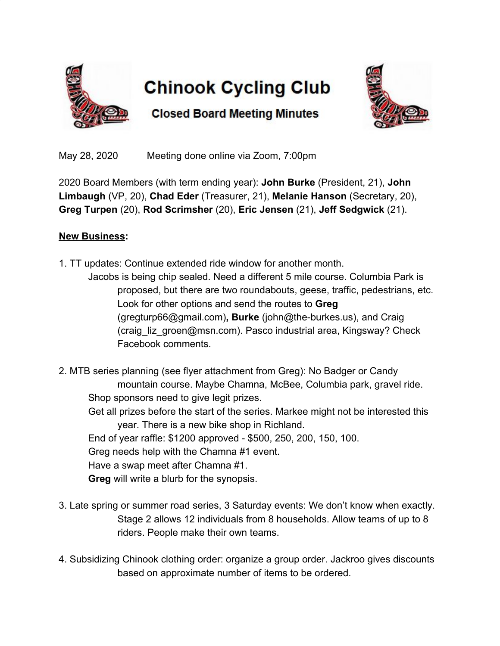

## **Chinook Cycling Club**

**Closed Board Meeting Minutes** 



May 28, 2020 Meeting done online via Zoom, 7:00pm

2020 Board Members (with term ending year): **John Burke** (President, 21), **John Limbaugh** (VP, 20), **Chad Eder** (Treasurer, 21), **Melanie Hanson** (Secretary, 20), **Greg Turpen** (20), **Rod Scrimsher** (20), **Eric Jensen** (21), **Jeff Sedgwick** (21).

## **New Business:**

- 1. TT updates: Continue extended ride window for another month. Jacobs is being chip sealed. Need a different 5 mile course. Columbia Park is proposed, but there are two roundabouts, geese, traffic, pedestrians, etc. Look for other options and send the routes to **Greg** (gregturp66@gmail.com)**, Burke** (john@the-burkes.us), and Craig (craig\_liz\_groen@msn.com). Pasco industrial area, Kingsway? Check Facebook comments.
- 2. MTB series planning (see flyer attachment from Greg): No Badger or Candy mountain course. Maybe Chamna, McBee, Columbia park, gravel ride. Shop sponsors need to give legit prizes.
	- Get all prizes before the start of the series. Markee might not be interested this year. There is a new bike shop in Richland.
	- End of year raffle: \$1200 approved \$500, 250, 200, 150, 100.
	- Greg needs help with the Chamna #1 event.
	- Have a swap meet after Chamna #1.
	- **Greg** will write a blurb for the synopsis.
- 3. Late spring or summer road series, 3 Saturday events: We don't know when exactly. Stage 2 allows 12 individuals from 8 households. Allow teams of up to 8 riders. People make their own teams.
- 4. Subsidizing Chinook clothing order: organize a group order. Jackroo gives discounts based on approximate number of items to be ordered.